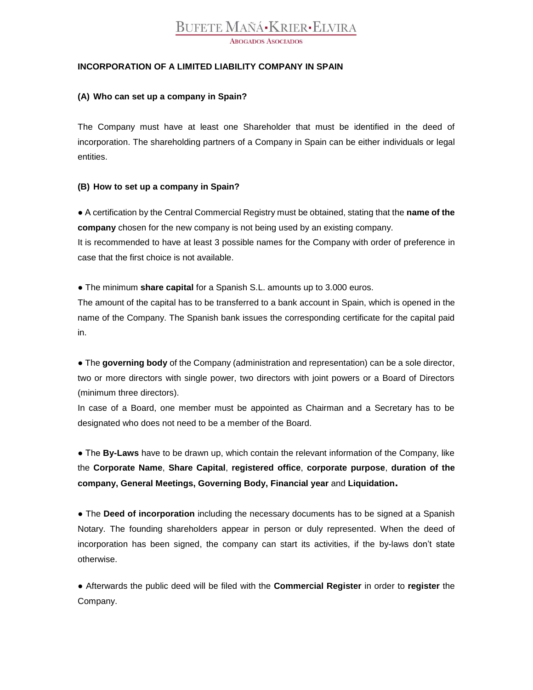# **BUFETE MAÑÁ-KRIER-ELVIRA**

**ABOGADOS ASOCIADOS** 

### **INCORPORATION OF A LIMITED LIABILITY COMPANY IN SPAIN**

#### **(A) Who can set up a company in Spain?**

The Company must have at least one Shareholder that must be identified in the deed of incorporation. The shareholding partners of a Company in Spain can be either individuals or legal entities.

### **(B) How to set up a company in Spain?**

● A certification by the Central Commercial Registry must be obtained, stating that the **name of the company** chosen for the new company is not being used by an existing company. It is recommended to have at least 3 possible names for the Company with order of preference in case that the first choice is not available.

● The minimum **share capital** for a Spanish S.L. amounts up to 3.000 euros.

The amount of the capital has to be transferred to a bank account in Spain, which is opened in the name of the Company. The Spanish bank issues the corresponding certificate for the capital paid in.

● The **governing body** of the Company (administration and representation) can be a sole director, two or more directors with single power, two directors with joint powers or a Board of Directors (minimum three directors).

In case of a Board, one member must be appointed as Chairman and a Secretary has to be designated who does not need to be a member of the Board.

● The **By-Laws** have to be drawn up, which contain the relevant information of the Company, like the **Corporate Name**, **Share Capital**, **registered office**, **corporate purpose**, **duration of the company, General Meetings, Governing Body, Financial year** and **Liquidation.**

**●** The **Deed of incorporation** including the necessary documents has to be signed at a Spanish Notary. The founding shareholders appear in person or duly represented. When the deed of incorporation has been signed, the company can start its activities, if the by-laws don't state otherwise.

**●** Afterwards the public deed will be filed with the **Commercial Register** in order to **register** the Company.